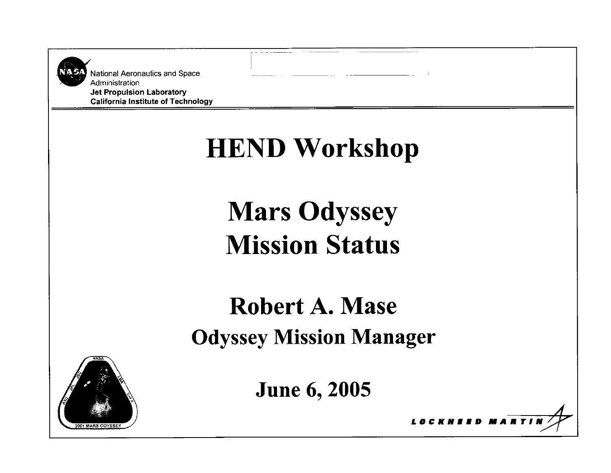| National Aeronautics and Space<br>Administration<br><b>Jet Propulsion Laboratory</b><br><b>California Institute of Technology</b> |                                |
|-----------------------------------------------------------------------------------------------------------------------------------|--------------------------------|
|                                                                                                                                   | <b>HEND Workshop</b>           |
|                                                                                                                                   | <b>Mars Odyssey</b>            |
|                                                                                                                                   | <b>Mission Status</b>          |
|                                                                                                                                   | <b>Robert A. Mase</b>          |
|                                                                                                                                   | <b>Odyssey Mission Manager</b> |
|                                                                                                                                   | <b>June 6, 2005</b>            |
| 2001 MARS ODYS                                                                                                                    |                                |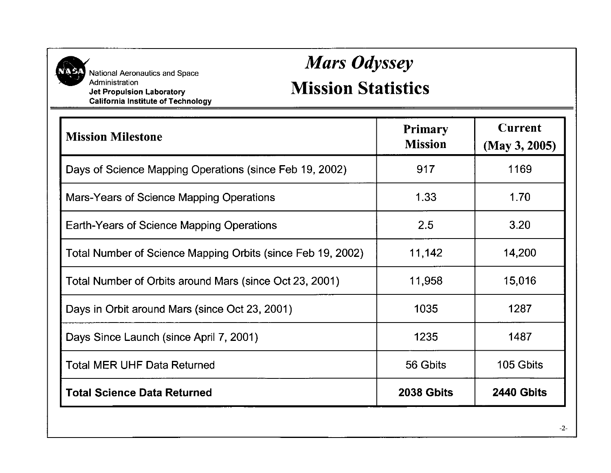

National Aeronautics and Space<br>Administration **Jet Propulsion Laboratory California Institute of Technology** 

# *Mars Odyssey*

#### **Mission Statistics**

| <b>Mission Milestone</b>                                    | <b>Primary</b><br><b>Mission</b> | <b>Current</b><br>(May 3, 2005) |  |  |  |
|-------------------------------------------------------------|----------------------------------|---------------------------------|--|--|--|
| Days of Science Mapping Operations (since Feb 19, 2002)     | 917                              | 1169                            |  |  |  |
| Mars-Years of Science Mapping Operations                    | 1.33                             | 1.70                            |  |  |  |
| Earth-Years of Science Mapping Operations                   | 2.5                              | 3.20                            |  |  |  |
| Total Number of Science Mapping Orbits (since Feb 19, 2002) | 11,142                           | 14,200                          |  |  |  |
| Total Number of Orbits around Mars (since Oct 23, 2001)     | 11,958                           | 15,016                          |  |  |  |
| Days in Orbit around Mars (since Oct 23, 2001)              | 1035                             | 1287                            |  |  |  |
| Days Since Launch (since April 7, 2001)                     | 1235                             | 1487                            |  |  |  |
| <b>Total MER UHF Data Returned</b>                          | 56 Gbits                         | 105 Gbits                       |  |  |  |
| <b>Total Science Data Returned</b>                          | 2038 Gbits                       | 2440 Gbits                      |  |  |  |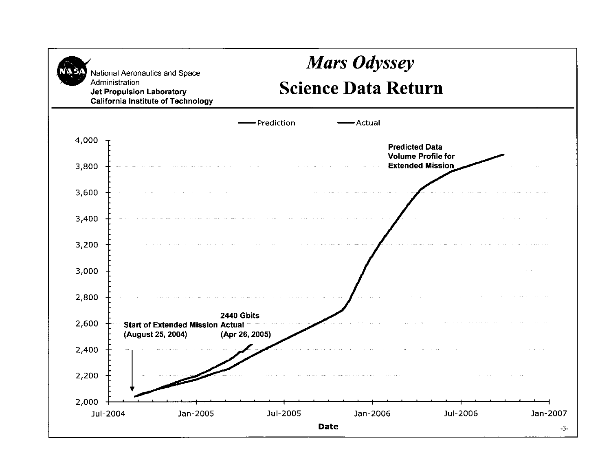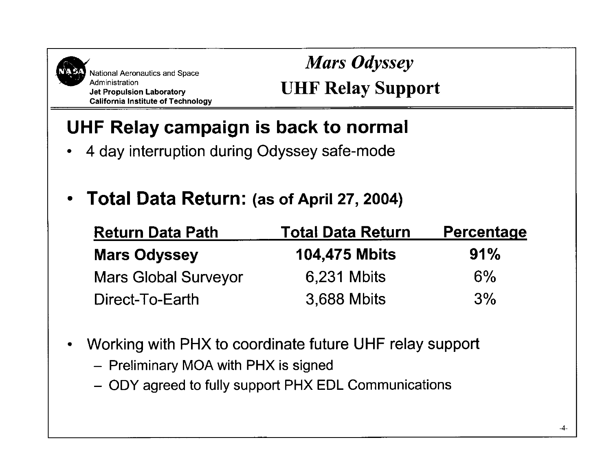

National Aeronautics and Space<br>Administration **Jet Propulsion Laboratory California Institute of Technology** 

### *Mars Odyssey* **UHF Relay Support**

## **UHF Relay campaign is back to normal**

- 4 day interruption during Odyssey safe-mode  $\bullet$
- **Total Data Return: (as of April 27, 2004)**  $\bullet$

| <b>Return Data Path</b>     | <b>Total Data Return</b> | Percentage |  |  |  |  |  |
|-----------------------------|--------------------------|------------|--|--|--|--|--|
| <b>Mars Odyssey</b>         | <b>104,475 Mbits</b>     | 91%        |  |  |  |  |  |
| <b>Mars Global Surveyor</b> | 6,231 Mbits              | 6%         |  |  |  |  |  |
| Direct-To-Earth             | 3,688 Mbits              | 3%         |  |  |  |  |  |

- Working with PHX to coordinate future UHF relay support  $\bullet$ 
	- Preliminary MOA with PHX **is** signed
	- ODY agreed to fully support PHX EDL Communications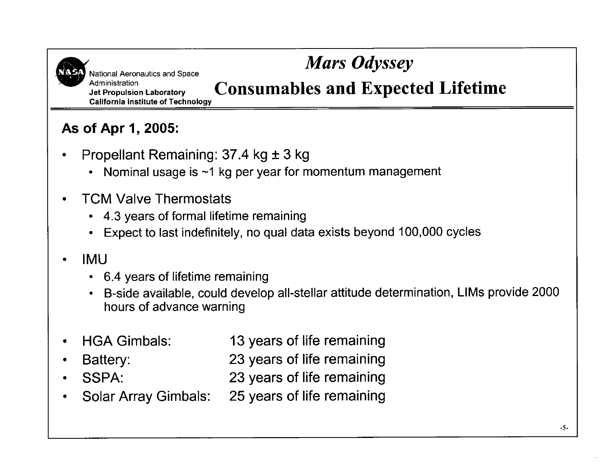National Aeronautics and Space *Mars Odyssey*<br> **Administration**<br> **Administration California Institute of Technology** 

**Jet Propulsion Laboratory Consumables and Expected Lifetime** 

**As of Apr 1,2005:** 

- Propellant Remaining: 37.4 kg ± 3 kg
	- Nominal usage is  $\sim$ 1 kg per year for momentum management
- TCM Valve Thermostats
	- 4.3 years of formal lifetime remaining
	- Expect to last indefinitely, no qua1 data exists beyond 100,000 cycles

#### IMU

- 6.4 years of lifetime remaining
- B-side available, could develop all-stellar attitude determination, LlMs provide 2000 hours of advance warning
- HGAGimbals: 13 years of life remaining
- Battery: 23 years of life remaining
- SSPA: 23 years of life remaining
- Solar Array Gimbals: 25 years of life remaining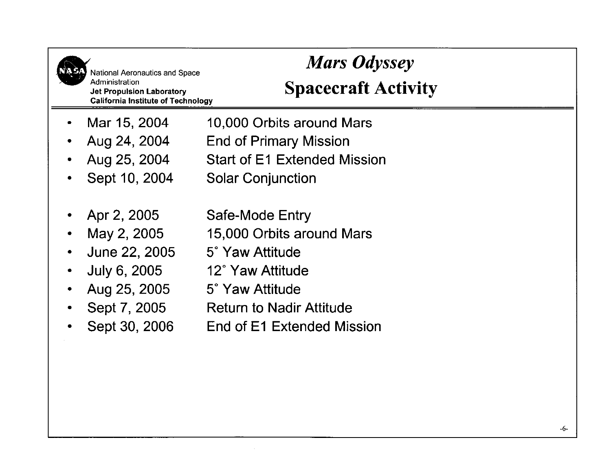| National Aeronautics and Space<br>Administration<br><b>Jet Propulsion Laboratory</b><br><b>California Institute of Technology</b> | <b>Mars Odyssey</b><br><b>Spacecraft Activity</b>                                                                                                                       |
|-----------------------------------------------------------------------------------------------------------------------------------|-------------------------------------------------------------------------------------------------------------------------------------------------------------------------|
| Mar 15, 2004                                                                                                                      | 10,000 Orbits around Mars                                                                                                                                               |
| Aug 24, 2004                                                                                                                      | <b>End of Primary Mission</b>                                                                                                                                           |
| Aug 25, 2004                                                                                                                      | <b>Start of E1 Extended Mission</b>                                                                                                                                     |
| Sept 10, 2004                                                                                                                     | <b>Solar Conjunction</b>                                                                                                                                                |
| Apr 2, 2005<br>May 2, 2005<br>June 22, 2005<br>July 6, 2005<br>Aug 25, 2005<br>Sept 7, 2005<br>Sept 30, 2006                      | Safe-Mode Entry<br>15,000 Orbits around Mars<br>5° Yaw Attitude<br>12° Yaw Attitude<br>5° Yaw Attitude<br><b>Return to Nadir Attitude</b><br>End of E1 Extended Mission |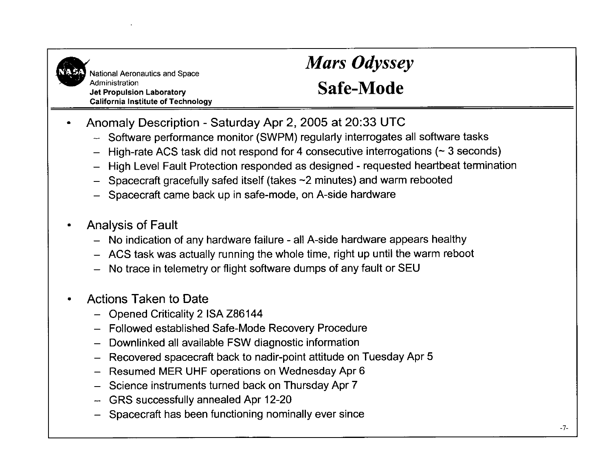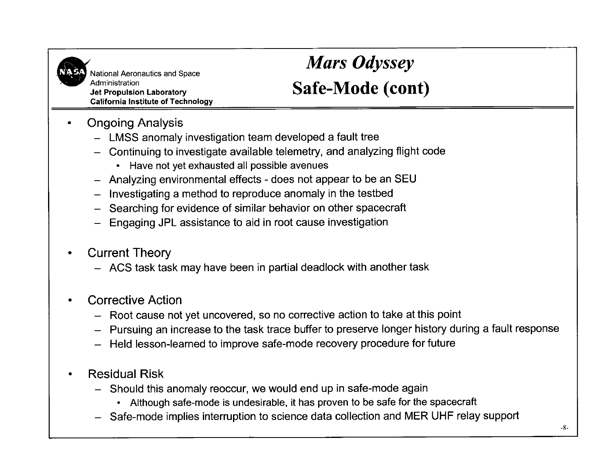

National Aeronautics and Space *Mars Odyssey*<br> **Administration**<br> **Administration Jet Propulsion Laboratory California Institute of Technology** 

## **Safe-Mode (cont)**

- Ongoing Analysis  $\bullet$ 
	- LMSS anomaly investigation team developed a fault tree
	- Continuing to investigate available telemetry, and analyzing flight code
		- Have not yet exhausted all possible avenues
	- Analyzing environmental effects does not appear to be an SEU
	- Investigating a method to reproduce anomaly in the testbed
	- Searching for evidence of similar behavior on other spacecraft
	- Engaging JPL assistance to aid in root cause investigation
- Current Theory
	- ACS task task may have been in partial deadlock with another task
- Corrective Action
	- Root cause not yet uncovered, so no corrective action to take at this point
	- Pursuing an increase to the task trace buffer to preserve longer history during a fault response
	- Held lesson-learned to improve safe-mode recovery procedure for future
- Residual Risk
	- Should this anomaly reoccur, we would end up in safe-mode again
		- Although safe-mode is undesirable, it has proven to be safe for the spacecraft
	- Safe-mode implies interruption to science data collection and MER UHF relay support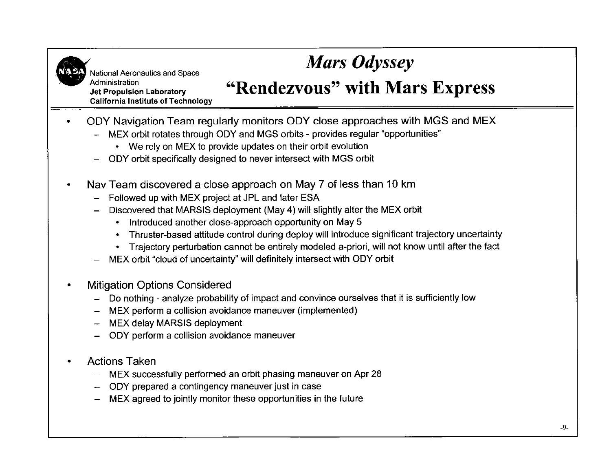

National Aeronautics and Space

#### **Jet Propulsion Laboratory California Institute of Technology**

#### **Mars Odyssey**<br> **Administration**<br> **Administration**<br> **4.1 Mars "Rendezvous" with Mars Express**

- ODY Navigation Team regularly monitors ODY close approaches with MGS and MEX
	- MEX orbit rotates through ODY and MGS orbits provides regular "opportunities"
		- We rely on MEX to provide updates on their orbit evolution
	- ODY orbit specifically designed to never intersect with MGS orbit
- Nav Team discovered a close approach on May 7 of less than 10 km
	- Followed up with MEX project at JPL and later ESA
	- Discovered that MARSIS deployment (May **4)** will slightly alter the MEX orbit
		- Introduced another close-approach opportunity on May 5
		- Thruster-based attitude control during deploy will introduce significant trajectory uncertainty
		- Trajectory perturbation cannot be entirely modeled a-priori, will not know until after the fact
	- MEX orbit "cloud of uncertainty" will definitely intersect with ODY orbit
- Mitigation Options Considered
	- Do nothing analyze probability of impact and convince ourselves that it is sufficiently low
	- MEX perform a collision avoidance maneuver (implemented)
	- MEX delay MARSIS deployment
	- ODY perform a collision avoidance maneuver
- Actions Taken
	- MEX successfully performed an orbit phasing maneuver on Apr 28
	- ODY prepared a contingency maneuver just in case
	- MEX agreed to jointly monitor these opportunities in the future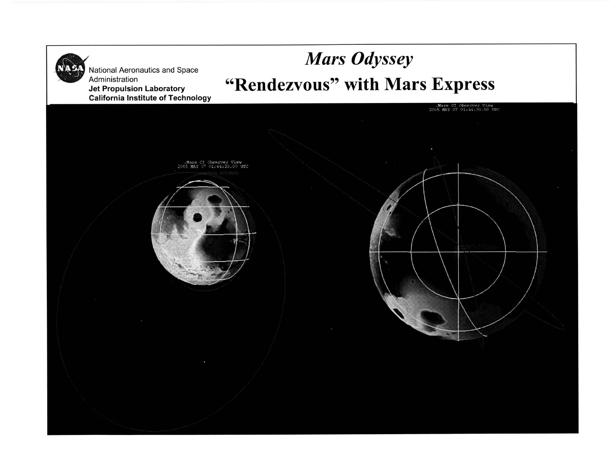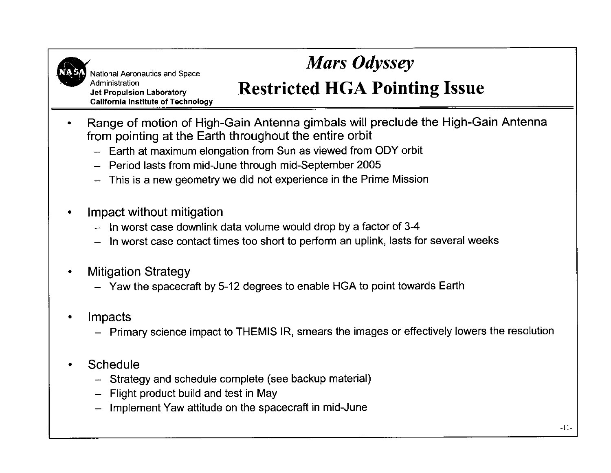

*Mars Odyssey* 

## **Restricted HGA Pointing Issue**

**Jet Propulsion Laboratory California Institute of Technology** 

- \* Range of motion of High-Gain Antenna gimbals will preclude the High-Gain Antenna from pointing at the Earth throughout the entire orbit
	- Earth at maximum elongation from Sun as viewed from ODY orbit
	- Period lasts from mid-June through mid-September 2005
	- $-$  This is a new geometry we did not experience in the Prime Mission
- Impact without mitigation  $\bullet$ 
	- $-$  In worst case downlink data volume would drop by a factor of 3-4
	- In worst case contact times too short to perform an uplink, lasts for several weeks
- Mitigation Strategy  $\bullet$ 
	- Yaw the spacecraft by 5-12 degrees to enable HGA to point towards Earth
- Impacts
	- Primary science impact to THEMIS IR, smears the images or effectively lowers the resolution
- **Schedule** 
	- Strategy and schedule complete (see backup material)
	- Flight product build and test in May
	- Implement Yaw attitude on the spacecraft in mid-June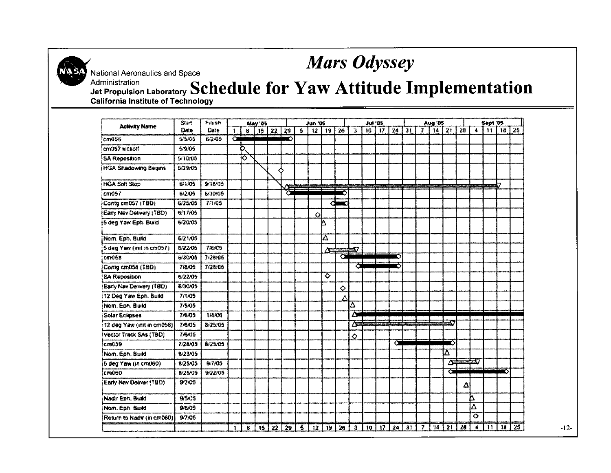

National Aeronautics and Space

#### **Mars Odyssey**

Administration **Jet Propulsion Laboratory Schedule for Yaw Attitude Implementation California Institute of Technology** 

| <b>Activity Name</b>        | <b>Start</b><br>Date | Finish<br>Date | May '05 |    |     |         |     | <b>Jun '05</b>          |            |    |            | <b>Jul '05</b> |    |           |    | <b>Aug 05</b> |                |                  |    |    | Sept '05             |               |                 |    |
|-----------------------------|----------------------|----------------|---------|----|-----|---------|-----|-------------------------|------------|----|------------|----------------|----|-----------|----|---------------|----------------|------------------|----|----|----------------------|---------------|-----------------|----|
|                             |                      |                |         | 8  |     | 15   22 | -29 | $\overline{\mathbf{S}}$ | 12   19    |    | 126        | $\mathbf{3}$   |    | $10 - 17$ | 24 | 31            |                | 7   14   21   28 |    |    |                      |               | $4$ 11 18 25    |    |
| cm056                       | 5/5/05               | 6:2.05         | Ì       |    |     |         | n   |                         |            |    |            |                |    |           |    |               |                |                  |    |    |                      |               |                 |    |
| cm057 kickoff               | 5/9/05               |                |         | Þ  |     |         |     |                         |            |    |            |                |    |           |    |               |                |                  |    |    |                      |               |                 |    |
| <b>SA Reposition</b>        | 5/10/05              |                |         | তি |     |         |     |                         |            |    |            |                |    |           |    |               |                |                  |    |    |                      |               |                 |    |
| <b>HGA Shadowing Begins</b> | 5/29/05              |                |         |    |     |         | ↷   |                         |            |    |            |                |    |           |    |               |                |                  |    |    |                      |               |                 |    |
| <b>HGA Soft Stop</b>        | 6/1/05               | 9/18/05        |         |    |     |         |     |                         |            |    |            |                |    |           |    |               |                |                  |    |    |                      | <b>book</b> 7 |                 |    |
| cm <sub>057</sub>           | 6/2/05               | 6/30/05        |         |    |     |         | ō   |                         |            |    |            |                |    |           |    |               |                |                  |    |    |                      |               |                 |    |
| Contg cm057 (TBD)           | 6/25/05              | 7,05           |         |    |     |         |     |                         |            | ╭  |            |                |    |           |    |               |                |                  |    |    |                      |               |                 |    |
| Early Nav Delivery (TBD)    | 6/17/05              |                |         |    |     |         |     |                         | $\Diamond$ |    |            |                |    |           |    |               |                |                  |    |    |                      |               |                 |    |
| 5 deg Yaw Eph. Build        | 6/20/05              |                |         |    |     |         |     |                         |            | Δ  |            |                |    |           |    |               |                |                  |    |    |                      |               |                 |    |
| Nom. Eph. Build             | 6/21/05              |                |         |    |     |         |     |                         |            | A  |            |                |    |           |    |               |                |                  |    |    |                      |               |                 |    |
| 5 deg Yaw (init in cm057)   | 6/22/05              | 7/6/05         |         |    |     |         |     |                         |            | ۵Ė |            | 57             |    |           |    |               |                |                  |    |    |                      |               |                 |    |
| cm058                       | 6/30/05              | 7/28/05        |         |    |     |         |     |                         |            |    | Ő          |                |    |           | Ο  |               |                |                  |    |    |                      |               |                 |    |
| Comg cm058 (TBD)            | 778.05               | 7/28/05        |         |    |     |         |     |                         |            |    |            | Ō              |    |           | Ω  |               |                |                  |    |    |                      |               |                 |    |
| <b>SA Reposition</b>        | 6/22/05              |                |         |    |     |         |     |                         |            | ত  |            |                |    |           |    |               |                |                  |    |    |                      |               |                 |    |
| Early Nav Delivery (180)    | 6/30/05              |                |         |    |     |         |     |                         |            |    | $\Diamond$ |                |    |           |    |               |                |                  |    |    |                      |               |                 |    |
| 12 Deg Yaw Eph, Build       | 7/1/05               |                |         |    |     |         |     |                         |            |    | Λ          |                |    |           |    |               |                |                  |    |    |                      |               |                 |    |
| Nom. Eph. Build             | 7/5/05               |                |         |    |     |         |     |                         |            |    |            | Δ              |    |           |    |               |                |                  |    |    |                      |               |                 |    |
| Solar Eclipses              | 7/6/05               | 1/4/06         |         |    |     |         |     |                         |            |    |            | ΔW             |    |           |    |               |                |                  |    |    |                      |               |                 |    |
| 12 deg Yaw (init in cm058)  | 78.05                | 8-25-05        |         |    |     |         |     |                         |            |    |            | ∕प्र           |    |           |    |               |                |                  |    |    |                      |               |                 |    |
| Vector Track SAs (TBD)      | 7/6/05               |                |         |    |     |         |     |                         |            |    |            | $\Diamond$     |    |           |    |               |                |                  |    |    |                      |               |                 |    |
| cm059                       | 7:28.05              | 8/25/05        |         |    |     |         |     |                         |            |    |            |                |    |           | O  |               |                |                  |    |    |                      |               |                 |    |
| Nom. Eph. Build             | <b>B/23/05</b>       |                |         |    |     |         |     |                         |            |    |            |                |    |           |    |               |                |                  | Δ  |    |                      |               |                 |    |
| 5 deg Yaw (in cm060)        | 8/25/05              | 9/7/05         |         |    |     |         |     |                         |            |    |            |                |    |           |    |               |                |                  | 二字 |    | $\mathbf{X}$         |               |                 |    |
| cm060                       | 8/25/05              | 9/22/05        |         |    |     |         |     |                         |            |    |            |                |    |           |    |               |                |                  | O  |    |                      |               | ⌒               |    |
| Early Nav Deliver (TBD)     | 9/2/05               |                |         |    |     |         |     |                         |            |    |            |                |    |           |    |               |                |                  |    | Δ  |                      |               |                 |    |
| Nadir Eph. Build            | 9/5/05               |                |         |    |     |         |     |                         |            |    |            |                |    |           |    |               |                |                  |    |    | Δ                    |               |                 |    |
| Nom. Eph. Build             | 9/6/05               |                |         |    |     |         |     |                         |            |    |            |                |    |           |    |               |                |                  |    |    | Δ                    |               |                 |    |
| Return to Nadir (in cm060)  | 9/7/05               |                |         |    |     |         |     |                         |            |    |            |                |    |           |    |               |                |                  |    |    | ♦                    |               |                 |    |
|                             |                      |                | л       | 8. | 15. | 22      | 29  | ã                       | 12         | 19 | 26         | 3              | 10 | 17        | 24 | 31            | $\overline{r}$ | 14               | 21 | 28 | $\blacktriangleleft$ | $\mathbf{H}$  | 18 <sup>1</sup> | 25 |

 $-12-$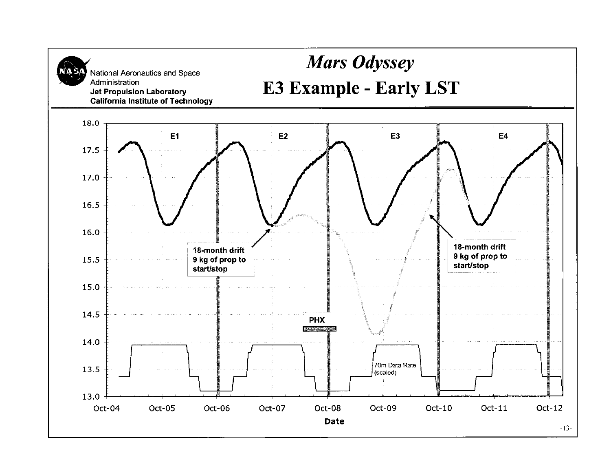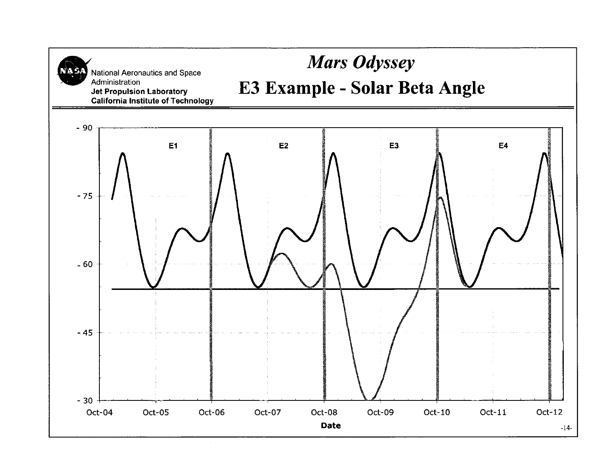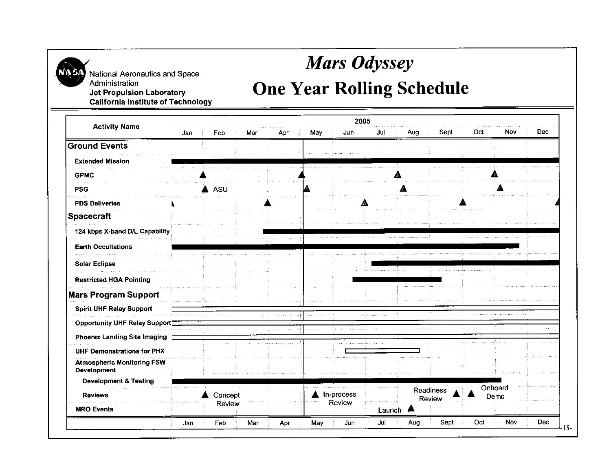

National **Aeronautics and Space** 

#### **Mars Odyssey**

# Administration<br> **Jet Propulsion Laboratory**<br> **California Institute of Technology**<br> **One Year Rolling Schedule**

2005 **Activity Name** Aug Sept Oct Nov **Dec** Jan Feb Mar May Jun Jul Apr **Ground Events Extended Mission GPMC** ≜ **PSG** A ASU A **PDS Deliveries Spacecraft 124 kbps X-band DIL Capability Earth Occultations Solar Eclipse Restricted HGA Pointing Mars Program Support Spirit UHF Relay Support Opportunity UHF Relay Support Phoenix Landing Site Imaging UHF Demonstrations for PHX Atmospheric Monitoring FSW Development** & **Testing** Onboard Readiness  $\triangle$  Concept A In-process **Reviews** Demo Review Review Review **MRO Events** Launch  $\triangle$ Oct Nov **Dec** Jan Feb Mar Apr May Jun Jul Aug Sept  $15 -$